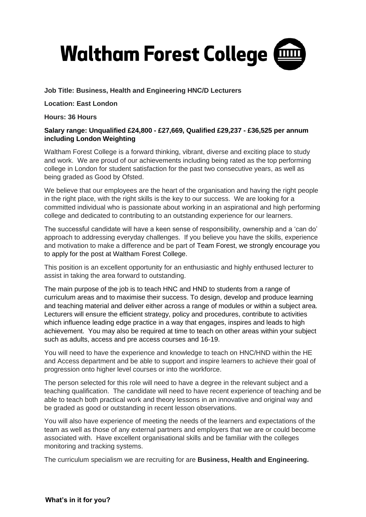

**Job Title: Business, Health and Engineering HNC/D Lecturers**

**Location: East London**

**Hours: 36 Hours**

### **Salary range: Unqualified £24,800 - £27,669, Qualified £29,237 - £36,525 per annum including London Weighting**

Waltham Forest College is a forward thinking, vibrant, diverse and exciting place to study and work. We are proud of our achievements including being rated as the top performing college in London for student satisfaction for the past two consecutive years, as well as being graded as Good by Ofsted.

We believe that our employees are the heart of the organisation and having the right people in the right place, with the right skills is the key to our success. We are looking for a committed individual who is passionate about working in an aspirational and high performing college and dedicated to contributing to an outstanding experience for our learners.

The successful candidate will have a keen sense of responsibility, ownership and a 'can do' approach to addressing everyday challenges. If you believe you have the skills, experience and motivation to make a difference and be part of Team Forest, we strongly encourage you to apply for the post at Waltham Forest College.

This position is an excellent opportunity for an enthusiastic and highly enthused lecturer to assist in taking the area forward to outstanding.

The main purpose of the job is to teach HNC and HND to students from a range of curriculum areas and to maximise their success. To design, develop and produce learning and teaching material and deliver either across a range of modules or within a subject area. Lecturers will ensure the efficient strategy, policy and procedures, contribute to activities which influence leading edge practice in a way that engages, inspires and leads to high achievement. You may also be required at time to teach on other areas within your subject such as adults, access and pre access courses and 16-19.

You will need to have the experience and knowledge to teach on HNC/HND within the HE and Access department and be able to support and inspire learners to achieve their goal of progression onto higher level courses or into the workforce.

The person selected for this role will need to have a degree in the relevant subject and a teaching qualification. The candidate will need to have recent experience of teaching and be able to teach both practical work and theory lessons in an innovative and original way and be graded as good or outstanding in recent lesson observations.

You will also have experience of meeting the needs of the learners and expectations of the team as well as those of any external partners and employers that we are or could become associated with. Have excellent organisational skills and be familiar with the colleges monitoring and tracking systems.

The curriculum specialism we are recruiting for are **Business, Health and Engineering.**